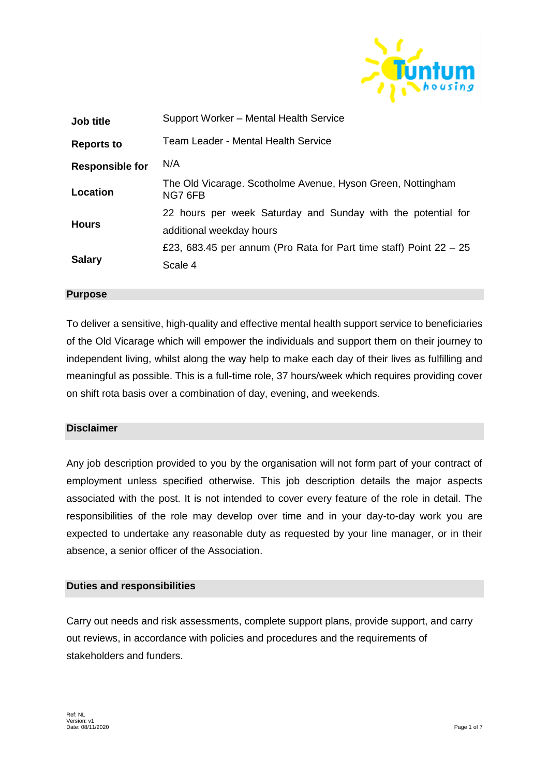

| <b>Job title</b>       | Support Worker - Mental Health Service                                 |
|------------------------|------------------------------------------------------------------------|
| <b>Reports to</b>      | Team Leader - Mental Health Service                                    |
| <b>Responsible for</b> | N/A                                                                    |
| Location               | The Old Vicarage. Scotholme Avenue, Hyson Green, Nottingham<br>NG7 6FB |
|                        | 22 hours per week Saturday and Sunday with the potential for           |
| <b>Hours</b>           | additional weekday hours                                               |
| <b>Salary</b>          | £23, 683.45 per annum (Pro Rata for Part time staff) Point $22 - 25$   |
|                        | Scale 4                                                                |
|                        |                                                                        |

## **Purpose**

To deliver a sensitive, high-quality and effective mental health support service to beneficiaries of the Old Vicarage which will empower the individuals and support them on their journey to independent living, whilst along the way help to make each day of their lives as fulfilling and meaningful as possible. This is a full-time role, 37 hours/week which requires providing cover on shift rota basis over a combination of day, evening, and weekends.

## **Disclaimer**

Any job description provided to you by the organisation will not form part of your contract of employment unless specified otherwise. This job description details the major aspects associated with the post. It is not intended to cover every feature of the role in detail. The responsibilities of the role may develop over time and in your day-to-day work you are expected to undertake any reasonable duty as requested by your line manager, or in their absence, a senior officer of the Association.

#### **Duties and responsibilities**

Carry out needs and risk assessments, complete support plans, provide support, and carry out reviews, in accordance with policies and procedures and the requirements of stakeholders and funders.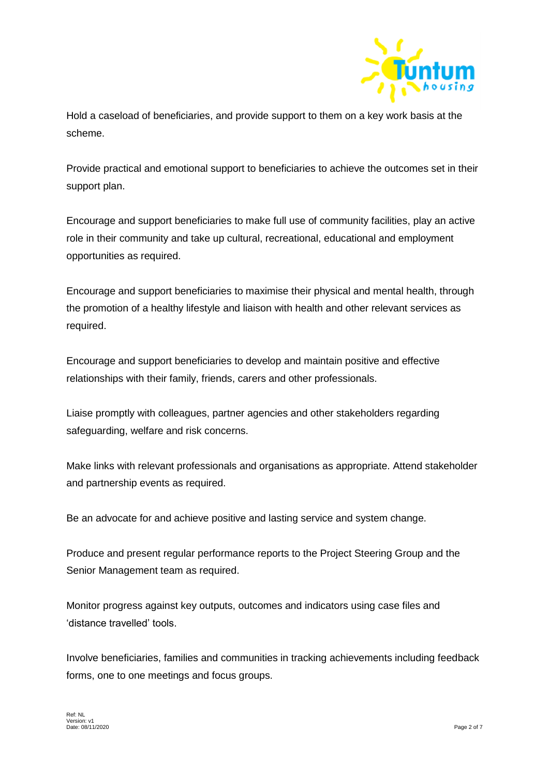

Hold a caseload of beneficiaries, and provide support to them on a key work basis at the scheme.

Provide practical and emotional support to beneficiaries to achieve the outcomes set in their support plan.

Encourage and support beneficiaries to make full use of community facilities, play an active role in their community and take up cultural, recreational, educational and employment opportunities as required.

Encourage and support beneficiaries to maximise their physical and mental health, through the promotion of a healthy lifestyle and liaison with health and other relevant services as required.

Encourage and support beneficiaries to develop and maintain positive and effective relationships with their family, friends, carers and other professionals.

Liaise promptly with colleagues, partner agencies and other stakeholders regarding safeguarding, welfare and risk concerns.

Make links with relevant professionals and organisations as appropriate. Attend stakeholder and partnership events as required.

Be an advocate for and achieve positive and lasting service and system change.

Produce and present regular performance reports to the Project Steering Group and the Senior Management team as required.

Monitor progress against key outputs, outcomes and indicators using case files and 'distance travelled' tools.

Involve beneficiaries, families and communities in tracking achievements including feedback forms, one to one meetings and focus groups.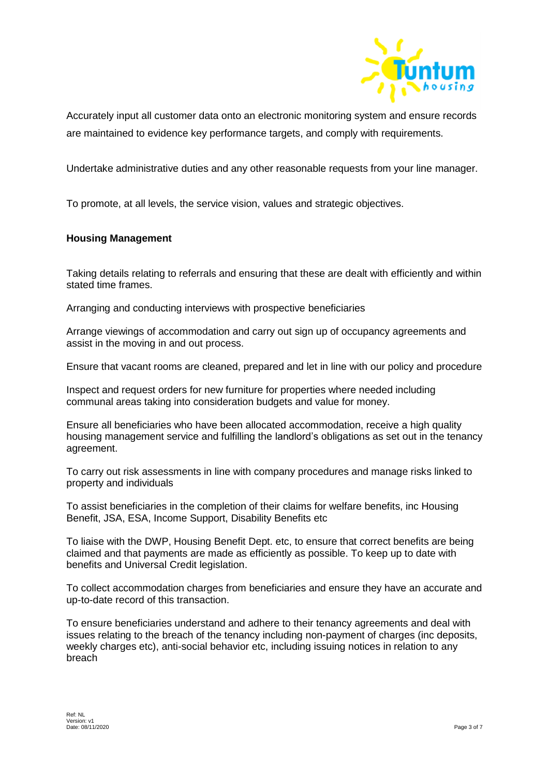

Accurately input all customer data onto an electronic monitoring system and ensure records are maintained to evidence key performance targets, and comply with requirements.

Undertake administrative duties and any other reasonable requests from your line manager.

To promote, at all levels, the service vision, values and strategic objectives.

## **Housing Management**

Taking details relating to referrals and ensuring that these are dealt with efficiently and within stated time frames.

Arranging and conducting interviews with prospective beneficiaries

Arrange viewings of accommodation and carry out sign up of occupancy agreements and assist in the moving in and out process.

Ensure that vacant rooms are cleaned, prepared and let in line with our policy and procedure

Inspect and request orders for new furniture for properties where needed including communal areas taking into consideration budgets and value for money.

Ensure all beneficiaries who have been allocated accommodation, receive a high quality housing management service and fulfilling the landlord's obligations as set out in the tenancy agreement.

To carry out risk assessments in line with company procedures and manage risks linked to property and individuals

To assist beneficiaries in the completion of their claims for welfare benefits, inc Housing Benefit, JSA, ESA, Income Support, Disability Benefits etc

To liaise with the DWP, Housing Benefit Dept. etc, to ensure that correct benefits are being claimed and that payments are made as efficiently as possible. To keep up to date with benefits and Universal Credit legislation.

To collect accommodation charges from beneficiaries and ensure they have an accurate and up-to-date record of this transaction.

To ensure beneficiaries understand and adhere to their tenancy agreements and deal with issues relating to the breach of the tenancy including non-payment of charges (inc deposits, weekly charges etc), anti-social behavior etc, including issuing notices in relation to any breach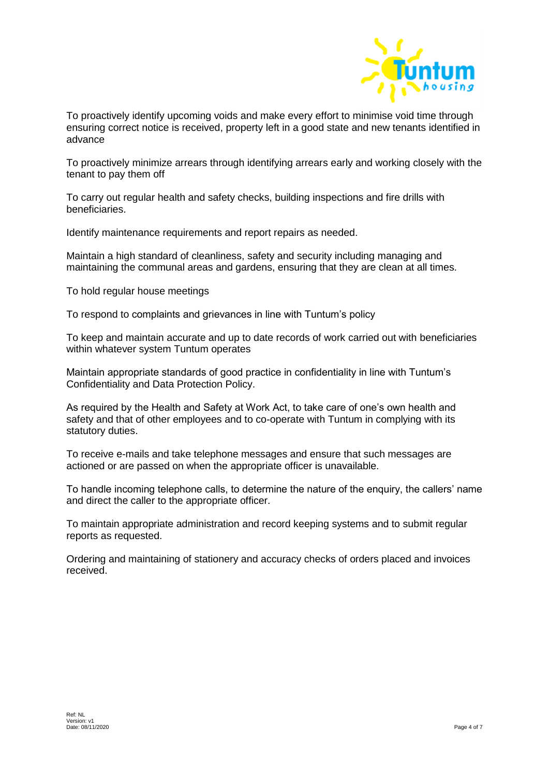

To proactively identify upcoming voids and make every effort to minimise void time through ensuring correct notice is received, property left in a good state and new tenants identified in advance

To proactively minimize arrears through identifying arrears early and working closely with the tenant to pay them off

To carry out regular health and safety checks, building inspections and fire drills with beneficiaries.

Identify maintenance requirements and report repairs as needed.

Maintain a high standard of cleanliness, safety and security including managing and maintaining the communal areas and gardens, ensuring that they are clean at all times.

To hold regular house meetings

To respond to complaints and grievances in line with Tuntum's policy

To keep and maintain accurate and up to date records of work carried out with beneficiaries within whatever system Tuntum operates

Maintain appropriate standards of good practice in confidentiality in line with Tuntum's Confidentiality and Data Protection Policy.

As required by the Health and Safety at Work Act, to take care of one's own health and safety and that of other employees and to co-operate with Tuntum in complying with its statutory duties.

To receive e-mails and take telephone messages and ensure that such messages are actioned or are passed on when the appropriate officer is unavailable.

To handle incoming telephone calls, to determine the nature of the enquiry, the callers' name and direct the caller to the appropriate officer.

To maintain appropriate administration and record keeping systems and to submit regular reports as requested.

Ordering and maintaining of stationery and accuracy checks of orders placed and invoices received.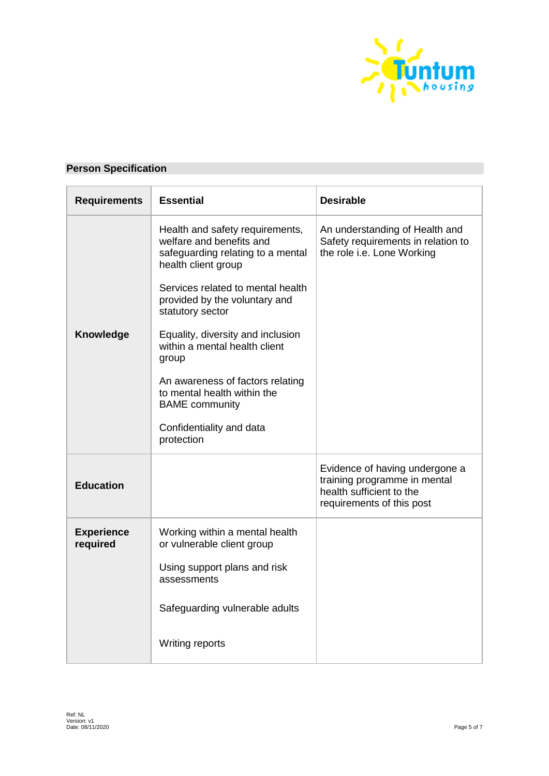

# **Person Specification**

| <b>Requirements</b>           | <b>Essential</b>                                                                                                        | <b>Desirable</b>                                                                                                        |
|-------------------------------|-------------------------------------------------------------------------------------------------------------------------|-------------------------------------------------------------------------------------------------------------------------|
|                               | Health and safety requirements,<br>welfare and benefits and<br>safeguarding relating to a mental<br>health client group | An understanding of Health and<br>Safety requirements in relation to<br>the role i.e. Lone Working                      |
|                               | Services related to mental health<br>provided by the voluntary and<br>statutory sector                                  |                                                                                                                         |
| Knowledge                     | Equality, diversity and inclusion<br>within a mental health client<br>group                                             |                                                                                                                         |
|                               | An awareness of factors relating<br>to mental health within the<br><b>BAME</b> community                                |                                                                                                                         |
|                               | Confidentiality and data<br>protection                                                                                  |                                                                                                                         |
| <b>Education</b>              |                                                                                                                         | Evidence of having undergone a<br>training programme in mental<br>health sufficient to the<br>requirements of this post |
| <b>Experience</b><br>required | Working within a mental health<br>or vulnerable client group                                                            |                                                                                                                         |
|                               | Using support plans and risk<br>assessments                                                                             |                                                                                                                         |
|                               | Safeguarding vulnerable adults                                                                                          |                                                                                                                         |
|                               | Writing reports                                                                                                         |                                                                                                                         |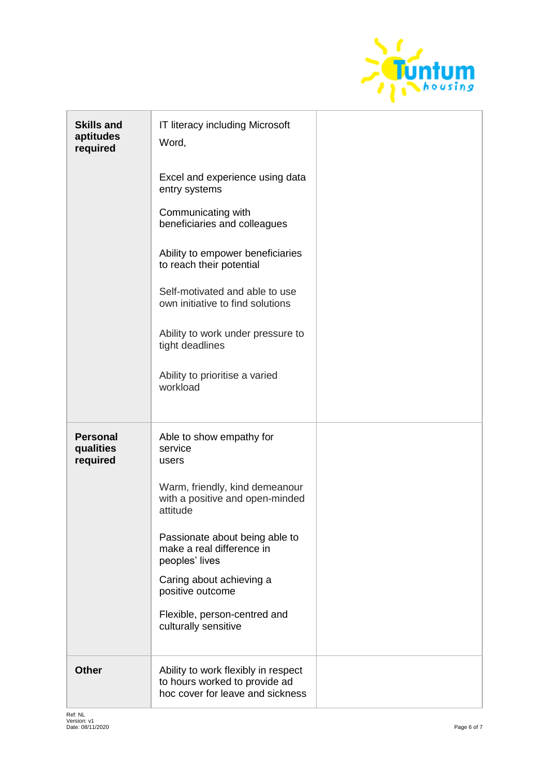

| <b>Skills and</b><br>aptitudes<br>required | IT literacy including Microsoft<br>Word,<br>Excel and experience using data<br>entry systems<br>Communicating with<br>beneficiaries and colleagues<br>Ability to empower beneficiaries<br>to reach their potential<br>Self-motivated and able to use<br>own initiative to find solutions<br>Ability to work under pressure to<br>tight deadlines<br>Ability to prioritise a varied<br>workload |  |
|--------------------------------------------|------------------------------------------------------------------------------------------------------------------------------------------------------------------------------------------------------------------------------------------------------------------------------------------------------------------------------------------------------------------------------------------------|--|
| <b>Personal</b><br>qualities<br>required   | Able to show empathy for<br>service<br>users<br>Warm, friendly, kind demeanour<br>with a positive and open-minded<br>attitude<br>Passionate about being able to<br>make a real difference in<br>peoples' lives<br>Caring about achieving a<br>positive outcome<br>Flexible, person-centred and<br>culturally sensitive                                                                         |  |
| <b>Other</b>                               | Ability to work flexibly in respect<br>to hours worked to provide ad<br>hoc cover for leave and sickness                                                                                                                                                                                                                                                                                       |  |

ł,